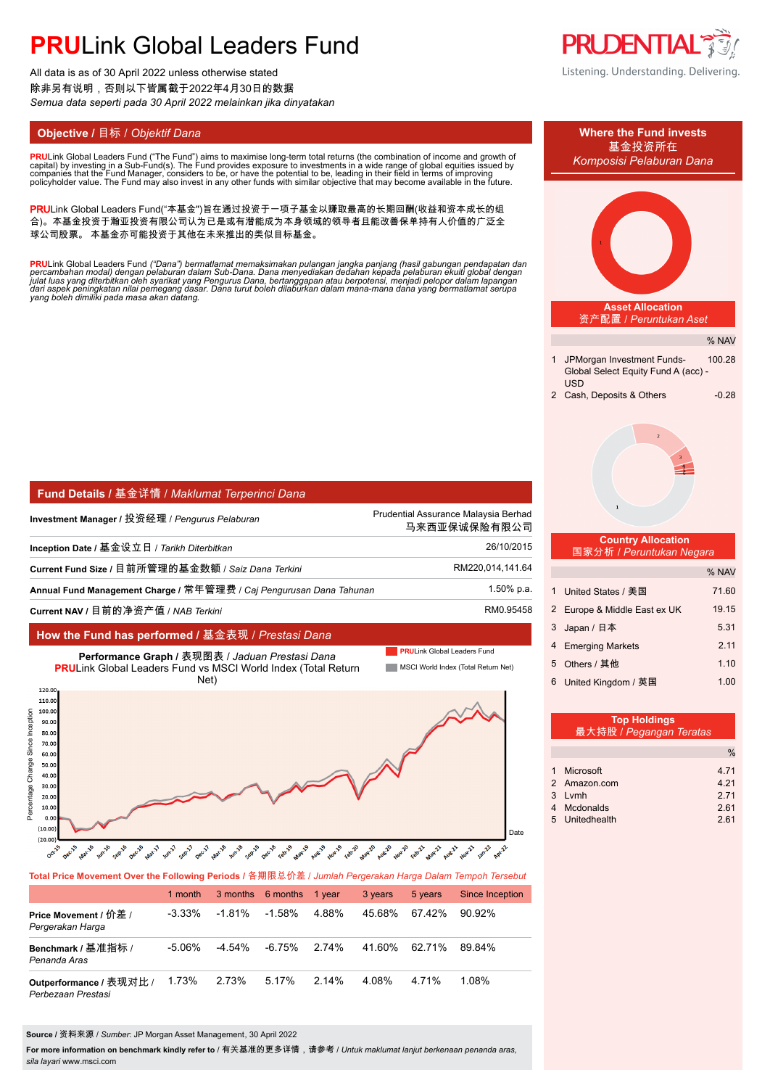# **PRU**Link Global Leaders Fund

All data is as of 30 April 2022 unless otherwise stated 除非另有说明,否则以下皆属截于2022年4月30日的数据 *Semua data seperti pada 30 April 2022 melainkan jika dinyatakan*

**PRU**Link Global Leaders Fund ("The Fund") aims to maximise long-term total returns (the combination of income and growth of<br>capital) by investing in a Sub-Fund(s). The Fund provides exposure to investments in a wide range

PRULink Global Leaders Fund("本基金")旨在通过投资于一项子基金以赚取最高的长期回酬(收益和资本成长的组 合)。本基金投资于瀚亚投资有限公司认为已是或有潜能成为本身领域的领导者且能改善保单持有人价值的广泛全 球公司股票。 本基金亦可能投资于其他在未来推出的类似目标基金。

<mark>PRU</mark>Link Global Leaders Fund *("Dana") bermatlamat memaksimakan pulangan jangka panjang (hasil gabungan pendapatan dan<br>percambahan modal) dengan pelaburan dalam Sub-Dana. Dana menyediakan dedahan kepada pelaburan ekuiti g* 

| │ Fund Details / 基金详情 / Maklumat Terperinci Dana                    |                                                      |
|---------------------------------------------------------------------|------------------------------------------------------|
| Investment Manager / 投资经理 / Pengurus Pelaburan                      | Prudential Assurance Malaysia Berhad<br>马来西亚保诚保险有限公司 |
| Inception Date / 基金设立日 / Tarikh Diterbitkan                         | 26/10/2015                                           |
| Current Fund Size / 目前所管理的基金数额 / Saiz Dana Terkini                  | RM220,014,141.64                                     |
| Annual Fund Management Charge / 常年管理费 / Caj Pengurusan Dana Tahunan | 1.50% p.a.                                           |
| Current NAV / 目前的净资产值 / NAB Terkini                                 | RM0.95458                                            |

### **How the Fund has performed /** 基金表现 / *Prestasi Dana*



**Total Price Movement Over the Following Periods /** 各期限总价差 / *Jumlah Pergerakan Harga Dalam Tempoh Tersebut*

|                                               | 1 month   |           | 3 months 6 months 1 year |       | 3 years | 5 years | Since Inception |
|-----------------------------------------------|-----------|-----------|--------------------------|-------|---------|---------|-----------------|
| Price Movement / 价差 /<br>Pergerakan Harga     | $-3.33\%$ | $-1.81\%$ | -1.58%                   | 4 88% | 45.68%  | 67.42%  | $90.92\%$       |
| Benchmark / 基准指标 /<br>Penanda Aras            | $-5.06\%$ | $-4.54\%$ | -6.75%                   | 2.74% | 41.60%  | 62.71%  | 89 84%          |
| Outperformance / 表现对比 /<br>Perbezaan Prestasi | 1.73%     | 2.73%     | 5.17%                    | 2.14% | 4.08%   | 4.71%   | 1.08%           |

**Source /** 资料来源 / *Sumber*: JP Morgan Asset Management, 30 April 2022

**For more information on benchmark kindly refer to** / 有关基准的更多详情,请参考 / *Untuk maklumat lanjut berkenaan penanda aras, sila layari* www.msci.com





| 最大持股 / Pegangan Teratas |      |
|-------------------------|------|
|                         | $\%$ |
|                         |      |
| 1 Microsoft             | 4.71 |
| 2 Amazon.com            | 4.21 |
| 3 Lymh                  | 271  |
| 4 Mcdonalds             | 2.61 |
| 5 Unitedhealth          | 2.61 |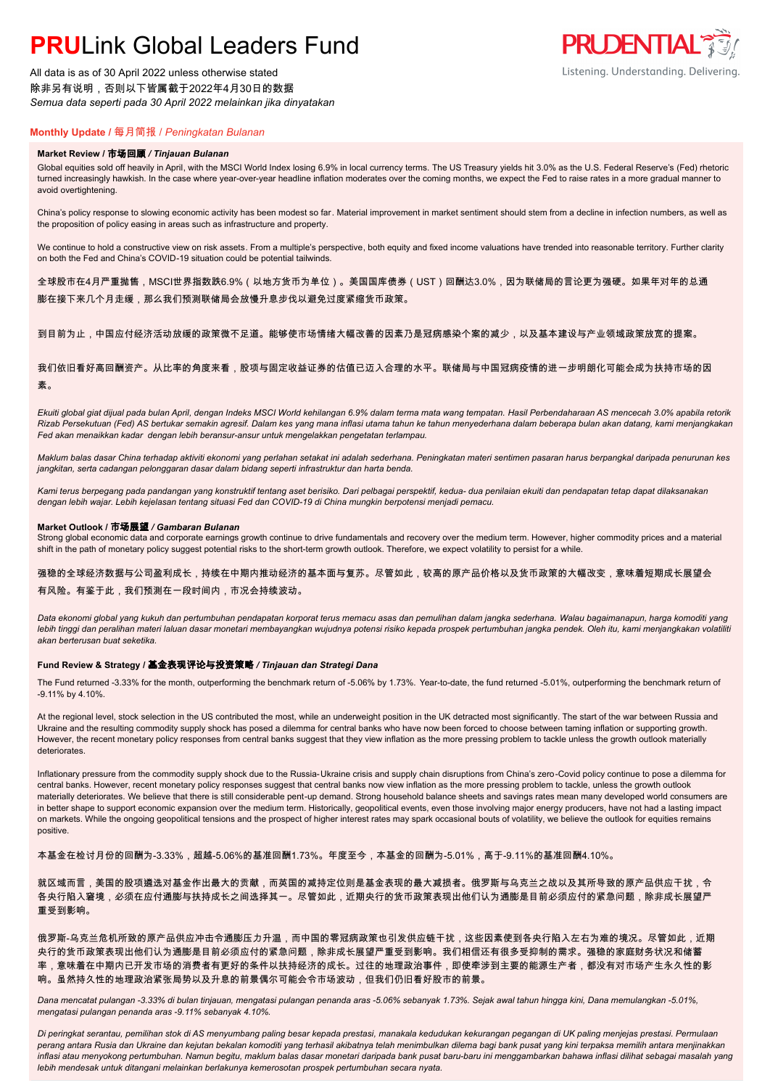# **PRU**Link Global Leaders Fund

All data is as of 30 April 2022 unless otherwise stated 除非另有说明,否则以下皆属截于2022年4月30日的数据 *Semua data seperti pada 30 April 2022 melainkan jika dinyatakan*



### **Monthly Update /** 每月简报 / *Peningkatan Bulanan*

#### **Market Review /** 市场回顾 */ Tinjauan Bulanan*

Global equities sold off heavily in April, with the MSCI World Index losing 6.9% in local currency terms. The US Treasury yields hit 3.0% as the U.S. Federal Reserve's (Fed) rhetoric turned increasingly hawkish. In the case where year-over-year headline inflation moderates over the coming months, we expect the Fed to raise rates in a more gradual manner to avoid overtightening.

China's policy response to slowing economic activity has been modest so far. Material improvement in market sentiment should stem from a decline in infection numbers, as well as the proposition of policy easing in areas such as infrastructure and property.

We continue to hold a constructive view on risk assets. From a multiple's perspective, both equity and fixed income valuations have trended into reasonable territory. Further clarity on both the Fed and China's COVID-19 situation could be potential tailwinds.

全球股市在4月严重抛售,MSCI世界指数跌6.9%(以地方货币为单位)。美国国库债券(UST)回酬达3.0%,因为联储局的言论更为强硬。如果年对年的总通 膨在接下来几个月走缓,那么我们预测联储局会放慢升息步伐以避免过度紧缩货币政策。

到目前为止,中国应付经济活动放缓的政策微不足道。能够使市场情绪大幅改善的因素乃是冠病感染个案的减少,以及基本建设与产业领域政策放宽的提案。

我们依旧看好高回酬资产。从比率的角度来看,股项与固定收益证券的估值已迈入合理的水平。联储局与中国冠病疫情的进一步明朗化可能会成为扶持市场的因 素。

*Ekuiti global giat dijual pada bulan April, dengan Indeks MSCI World kehilangan 6.9% dalam terma mata wang tempatan. Hasil Perbendaharaan AS mencecah 3.0% apabila retorik Rizab Persekutuan (Fed) AS bertukar semakin agresif. Dalam kes yang mana inflasi utama tahun ke tahun menyederhana dalam beberapa bulan akan datang, kami menjangkakan Fed akan menaikkan kadar dengan lebih beransur-ansur untuk mengelakkan pengetatan terlampau.*

*Maklum balas dasar China terhadap aktiviti ekonomi yang perlahan setakat ini adalah sederhana. Peningkatan materi sentimen pasaran harus berpangkal daripada penurunan kes jangkitan, serta cadangan pelonggaran dasar dalam bidang seperti infrastruktur dan harta benda.*

*Kami terus berpegang pada pandangan yang konstruktif tentang aset berisiko. Dari pelbagai perspektif, kedua- dua penilaian ekuiti dan pendapatan tetap dapat dilaksanakan dengan lebih wajar. Lebih kejelasan tentang situasi Fed dan COVID-19 di China mungkin berpotensi menjadi pemacu.*

#### **Market Outlook /** 市场展望 */ Gambaran Bulanan*

Strong global economic data and corporate earnings growth continue to drive fundamentals and recovery over the medium term. However, higher commodity prices and a material shift in the path of monetary policy suggest potential risks to the short-term growth outlook. Therefore, we expect volatility to persist for a while.

强稳的全球经济数据与公司盈利成长,持续在中期内推动经济的基本面与复苏。尽管如此,较高的原产品价格以及货币政策的大幅改变,意味着短期成长展望会 有风险。有鉴于此,我们预测在一段时间内,市况会持续波动。

*Data ekonomi global yang kukuh dan pertumbuhan pendapatan korporat terus memacu asas dan pemulihan dalam jangka sederhana. Walau bagaimanapun, harga komoditi yang*  lebih tinggi dan peralihan materi laluan dasar monetari membayangkan wujudnya potensi risiko kepada prospek pertumbuhan jangka pendek. Oleh itu, kami menjangkakan volatiliti *akan berterusan buat seketika.*

### **Fund Review & Strategy /** 基金表现评论与投资策略 */ Tinjauan dan Strategi Dana*

The Fund returned -3.33% for the month, outperforming the benchmark return of -5.06% by 1.73%. Year-to-date, the fund returned -5.01%, outperforming the benchmark return of -9.11% by 4.10%.

At the regional level, stock selection in the US contributed the most, while an underweight position in the UK detracted most significantly. The start of the war between Russia and Ukraine and the resulting commodity supply shock has posed a dilemma for central banks who have now been forced to choose between taming inflation or supporting growth. However, the recent monetary policy responses from central banks suggest that they view inflation as the more pressing problem to tackle unless the growth outlook materially deteriorates.

Inflationary pressure from the commodity supply shock due to the Russia-Ukraine crisis and supply chain disruptions from China's zero-Covid policy continue to pose a dilemma for central banks. However, recent monetary policy responses suggest that central banks now view inflation as the more pressing problem to tackle, unless the growth outlook materially deteriorates. We believe that there is still considerable pent-up demand. Strong household balance sheets and savings rates mean many developed world consumers are in better shape to support economic expansion over the medium term. Historically, geopolitical events, even those involving major energy producers, have not had a lasting impact on markets. While the ongoing geopolitical tensions and the prospect of higher interest rates may spark occasional bouts of volatility, we believe the outlook for equities remains positive.

本基金在检讨月份的回酬为-3.33%,超越-5.06%的基准回酬1.73%。年度至今,本基金的回酬为-5.01%,高于-9.11%的基准回酬4.10%。

就区域而言,美国的股项遴选对基金作出最大的贡献,而英国的减持定位则是基金表现的最大减损者。俄罗斯与乌克兰之战以及其所导致的原产品供应干扰,令 各央行陷入窘境,必须在应付通膨与扶持成长之间选择其一。尽管如此,近期央行的货币政策表现出他们认为通膨是目前必须应付的紧急问题,除非成长展望严 重受到影响。

俄罗斯-乌克兰危机所致的原产品供应冲击令通膨压力升温,而中国的零冠病政策也引发供应链干扰,这些因素使到各央行陷入左右为难的境况。尽管如此,近期 央行的货币政策表现出他们认为通膨是目前必须应付的紧急问题,除非成长展望严重受到影响。我们相信还有很多受抑制的需求。强稳的家庭财务状况和储蓄 率,意味着在中期内已开发市场的消费者有更好的条件以扶持经济的成长。过往的地理政治事件,即使牵涉到主要的能源生产者,都没有对市场产生永久性的影 响。虽然持久性的地理政治紧张局势以及升息的前景偶尔可能会令市场波动,但我们仍旧看好股市的前景。

*Dana mencatat pulangan -3.33% di bulan tinjauan, mengatasi pulangan penanda aras -5.06% sebanyak 1.73%. Sejak awal tahun hingga kini, Dana memulangkan -5.01%, mengatasi pulangan penanda aras -9.11% sebanyak 4.10%.*

*Di peringkat serantau, pemilihan stok di AS menyumbang paling besar kepada prestasi, manakala kedudukan kekurangan pegangan di UK paling menjejas prestasi. Permulaan perang antara Rusia dan Ukraine dan kejutan bekalan komoditi yang terhasil akibatnya telah menimbulkan dilema bagi bank pusat yang kini terpaksa memilih antara menjinakkan inflasi atau menyokong pertumbuhan. Namun begitu, maklum balas dasar monetari daripada bank pusat baru-baru ini menggambarkan bahawa inflasi dilihat sebagai masalah yang lebih mendesak untuk ditangani melainkan berlakunya kemerosotan prospek pertumbuhan secara nyata.*